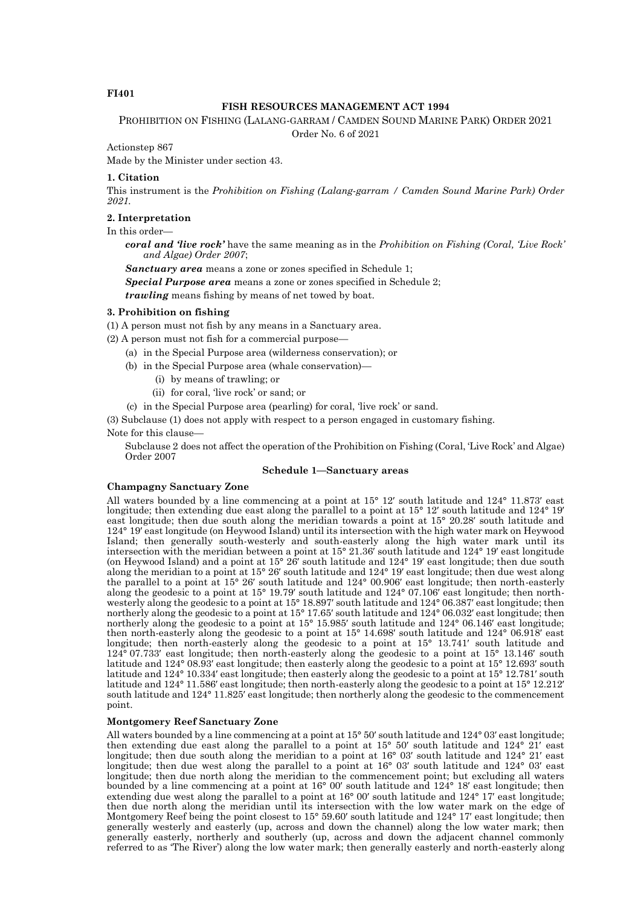## **FI401**

## **FISH RESOURCES MANAGEMENT ACT 1994**

PROHIBITION ON FISHING (LALANG-GARRAM / CAMDEN SOUND MARINE PARK) ORDER 2021

Order No. 6 of 2021

Actionstep 867

Made by the Minister under section 43.

#### **1. Citation**

This instrument is the *Prohibition on Fishing (Lalang-garram / Camden Sound Marine Park) Order 2021.*

## **2. Interpretation**

In this order—

*coral and 'live rock'* have the same meaning as in the *Prohibition on Fishing (Coral, 'Live Rock' and Algae) Order 2007*;

*Sanctuary area* means a zone or zones specified in Schedule 1;

*Special Purpose area* means a zone or zones specified in Schedule 2;

*trawling* means fishing by means of net towed by boat.

# **3. Prohibition on fishing**

(1) A person must not fish by any means in a Sanctuary area.

(2) A person must not fish for a commercial purpose—

- (a) in the Special Purpose area (wilderness conservation); or
- (b) in the Special Purpose area (whale conservation)-
	- (i) by means of trawling; or
	- (ii) for coral, 'live rock' or sand; or
- (c) in the Special Purpose area (pearling) for coral, 'live rock' or sand.

(3) Subclause (1) does not apply with respect to a person engaged in customary fishing.

Note for this clause—

Subclause 2 does not affect the operation of the Prohibition on Fishing (Coral, 'Live Rock' and Algae) Order 2007

#### **Schedule 1—Sanctuary areas**

## **Champagny Sanctuary Zone**

All waters bounded by a line commencing at a point at 15° 12′ south latitude and 124° 11.873′ east longitude; then extending due east along the parallel to a point at 15° 12′ south latitude and 124° 19′ east longitude; then due south along the meridian towards a point at 15° 20.28′ south latitude and 124° 19′ east longitude (on Heywood Island) until its intersection with the high water mark on Heywood Island; then generally south-westerly and south-easterly along the high water mark until its intersection with the meridian between a point at 15° 21.36′ south latitude and 124° 19′ east longitude (on Heywood Island) and a point at 15° 26′ south latitude and 124° 19′ east longitude; then due south along the meridian to a point at 15° 26′ south latitude and 124° 19′ east longitude; then due west along the parallel to a point at 15° 26′ south latitude and 124° 00.906′ east longitude; then north-easterly along the geodesic to a point at 15° 19.79′ south latitude and 124° 07.106′ east longitude; then northwesterly along the geodesic to a point at 15° 18.897′ south latitude and 124° 06.387′ east longitude; then northerly along the geodesic to a point at 15° 17.65′ south latitude and 124° 06.032′ east longitude; then northerly along the geodesic to a point at 15° 15.985′ south latitude and 124° 06.146′ east longitude; then north-easterly along the geodesic to a point at 15° 14.698′ south latitude and 124° 06.918′ east longitude; then north-easterly along the geodesic to a point at 15° 13.741′ south latitude and 124° 07.733′ east longitude; then north-easterly along the geodesic to a point at 15° 13.146′ south latitude and 124° 08.93′ east longitude; then easterly along the geodesic to a point at 15° 12.693′ south latitude and 124° 10.334′ east longitude; then easterly along the geodesic to a point at 15° 12.781′ south latitude and 124° 11.586′ east longitude; then north-easterly along the geodesic to a point at 15° 12.212′ south latitude and 124° 11.825′ east longitude; then northerly along the geodesic to the commencement point.

#### **Montgomery Reef Sanctuary Zone**

All waters bounded by a line commencing at a point at 15° 50′ south latitude and 124° 03′ east longitude; then extending due east along the parallel to a point at 15° 50′ south latitude and 124° 21′ east longitude; then due south along the meridian to a point at 16° 03′ south latitude and 124° 21′ east longitude; then due west along the parallel to a point at 16° 03' south latitude and 124° 03' east longitude; then due north along the meridian to the commencement point; but excluding all waters bounded by a line commencing at a point at 16° 00′ south latitude and 124° 18′ east longitude; then extending due west along the parallel to a point at 16° 00′ south latitude and 124° 17′ east longitude; then due north along the meridian until its intersection with the low water mark on the edge of Montgomery Reef being the point closest to 15° 59.60′ south latitude and 124° 17′ east longitude; then generally westerly and easterly (up, across and down the channel) along the low water mark; then generally easterly, northerly and southerly (up, across and down the adjacent channel commonly referred to as 'The River') along the low water mark; then generally easterly and north-easterly along